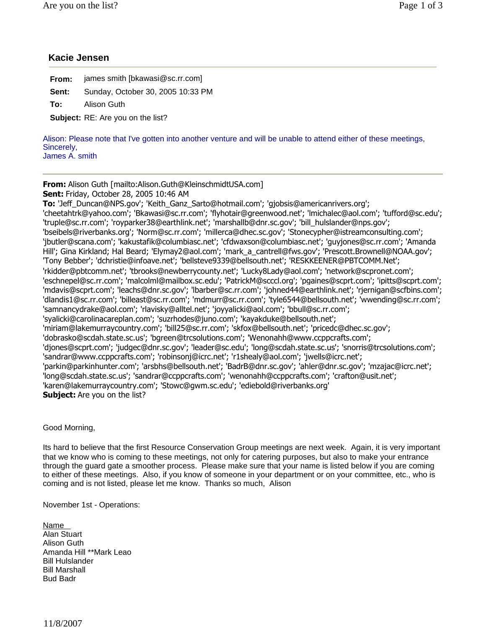## **Kacie Jensen**

| From:                                    | james smith [bkawasi@sc.rr.com]   |  |
|------------------------------------------|-----------------------------------|--|
| Sent:                                    | Sunday, October 30, 2005 10:33 PM |  |
| To:                                      | Alison Guth                       |  |
| <b>Subject:</b> RE: Are you on the list? |                                   |  |

Alison: Please note that I've gotten into another venture and will be unable to attend either of these meetings, Sincerely, James A. smith

**From:** Alison Guth [mailto:Alison.Guth@KleinschmidtUSA.com]

**Sent:** Friday, October 28, 2005 10:46 AM

**To:** 'Jeff\_Duncan@NPS.gov'; 'Keith\_Ganz\_Sarto@hotmail.com'; 'gjobsis@americanrivers.org'; 'cheetahtrk@yahoo.com'; 'Bkawasi@sc.rr.com'; 'flyhotair@greenwood.net'; 'lmichalec@aol.com'; 'tufford@sc.edu'; 'truple@sc.rr.com'; 'royparker38@earthlink.net'; 'marshallb@dnr.sc.gov'; 'bill\_hulslander@nps.gov'; 'bseibels@riverbanks.org'; 'Norm@sc.rr.com'; 'millerca@dhec.sc.gov'; 'Stonecypher@istreamconsulting.com'; 'jbutler@scana.com'; 'kakustafik@columbiasc.net'; 'cfdwaxson@columbiasc.net'; 'guyjones@sc.rr.com'; 'Amanda Hill'; Gina Kirkland; Hal Beard; 'Elymay2@aol.com'; 'mark\_a\_cantrell@fws.gov'; 'Prescott.Brownell@NOAA.gov'; 'Tony Bebber'; 'dchristie@infoave.net'; 'bellsteve9339@bellsouth.net'; 'RESKKEENER@PBTCOMM.Net'; 'rkidder@pbtcomm.net'; 'tbrooks@newberrycounty.net'; 'Lucky8Lady@aol.com'; 'network@scpronet.com'; 'eschnepel@sc.rr.com'; 'malcolml@mailbox.sc.edu'; 'PatrickM@scccl.org'; 'pgaines@scprt.com'; 'ipitts@scprt.com'; 'mdavis@scprt.com'; 'leachs@dnr.sc.gov'; 'lbarber@sc.rr.com'; 'johned44@earthlink.net'; 'rjernigan@scfbins.com'; 'dlandis1@sc.rr.com'; 'billeast@sc.rr.com'; 'mdmurr@sc.rr.com'; 'tyle6544@bellsouth.net'; 'wwending@sc.rr.com'; 'samnancydrake@aol.com'; 'rlavisky@alltel.net'; 'joyyalicki@aol.com'; 'bbull@sc.rr.com'; 'syalicki@carolinacareplan.com'; 'suzrhodes@juno.com'; 'kayakduke@bellsouth.net'; 'miriam@lakemurraycountry.com'; 'bill25@sc.rr.com'; 'skfox@bellsouth.net'; 'pricedc@dhec.sc.gov'; 'dobrasko@scdah.state.sc.us'; 'bgreen@trcsolutions.com'; 'Wenonahh@www.ccppcrafts.com'; 'djones@scprt.com'; 'judgec@dnr.sc.gov'; 'leader@sc.edu'; 'long@scdah.state.sc.us'; 'snorris@trcsolutions.com'; 'sandrar@www.ccppcrafts.com'; 'robinsonj@icrc.net'; 'r1shealy@aol.com'; 'jwells@icrc.net'; 'parkin@parkinhunter.com'; 'arsbhs@bellsouth.net'; 'BadrB@dnr.sc.gov'; 'ahler@dnr.sc.gov'; 'mzajac@icrc.net'; 'long@scdah.state.sc.us'; 'sandrar@ccppcrafts.com'; 'wenonahh@ccppcrafts.com'; 'crafton@usit.net'; 'karen@lakemurraycountry.com'; 'Stowc@gwm.sc.edu'; 'ediebold@riverbanks.org' **Subject:** Are you on the list?

Good Morning,

Its hard to believe that the first Resource Conservation Group meetings are next week. Again, it is very important that we know who is coming to these meetings, not only for catering purposes, but also to make your entrance through the guard gate a smoother process. Please make sure that your name is listed below if you are coming to either of these meetings. Also, if you know of someone in your department or on your committee, etc., who is coming and is not listed, please let me know. Thanks so much, Alison

November 1st - Operations:

Name Alan Stuart Alison Guth Amanda Hill \*\*Mark Leao Bill Hulslander Bill Marshall Bud Badr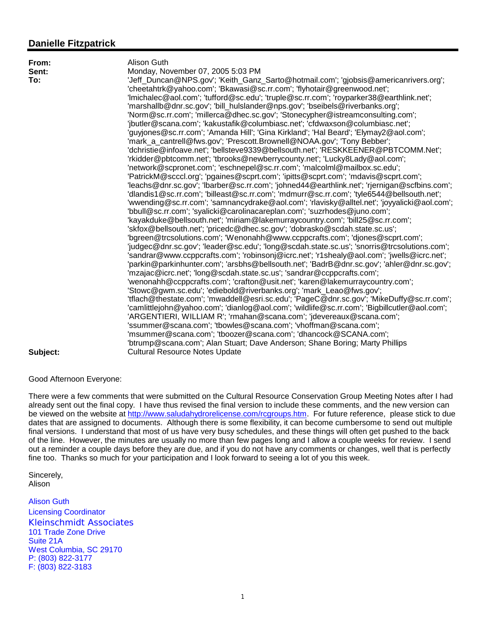# **Danielle Fitzpatrick**

| From:    | Alison Guth                                                                                  |  |  |
|----------|----------------------------------------------------------------------------------------------|--|--|
| Sent:    | Monday, November 07, 2005 5:03 PM                                                            |  |  |
| To:      | 'Jeff_Duncan@NPS.gov'; 'Keith_Ganz_Sarto@hotmail.com'; 'gjobsis@americanrivers.org';         |  |  |
|          | 'cheetahtrk@yahoo.com'; 'Bkawasi@sc.rr.com'; 'flyhotair@greenwood.net';                      |  |  |
|          | 'Imichalec@aol.com'; 'tufford@sc.edu'; 'truple@sc.rr.com'; 'royparker38@earthlink.net';      |  |  |
|          | 'marshallb@dnr.sc.gov'; 'bill_hulslander@nps.gov'; 'bseibels@riverbanks.org';                |  |  |
|          | 'Norm@sc.rr.com'; 'millerca@dhec.sc.gov'; 'Stonecypher@istreamconsulting.com';               |  |  |
|          | 'jbutler@scana.com'; 'kakustafik@columbiasc.net'; 'cfdwaxson@columbiasc.net';                |  |  |
|          | 'guyjones@sc.rr.com'; 'Amanda Hill'; 'Gina Kirkland'; 'Hal Beard'; 'Elymay2@aol.com';        |  |  |
|          | 'mark_a_cantrell@fws.gov'; 'Prescott.Brownell@NOAA.gov'; 'Tony Bebber';                      |  |  |
|          | 'dchristie@infoave.net'; 'bellsteve9339@bellsouth.net'; 'RESKKEENER@PBTCOMM.Net';            |  |  |
|          | 'rkidder@pbtcomm.net'; 'tbrooks@newberrycounty.net'; 'Lucky8Lady@aol.com';                   |  |  |
|          | 'network@scpronet.com'; 'eschnepel@sc.rr.com'; 'malcolml@mailbox.sc.edu';                    |  |  |
|          | 'PatrickM@scccl.org'; 'pgaines@scprt.com'; 'ipitts@scprt.com'; 'mdavis@scprt.com';           |  |  |
|          | 'leachs@dnr.sc.gov'; 'lbarber@sc.rr.com'; 'johned44@earthlink.net'; 'rjernigan@scfbins.com'; |  |  |
|          | 'dlandis1@sc.rr.com'; 'billeast@sc.rr.com'; 'mdmurr@sc.rr.com'; 'tyle6544@bellsouth.net';    |  |  |
|          | 'wwending@sc.rr.com'; 'samnancydrake@aol.com'; 'rlavisky@alltel.net'; 'joyyalicki@aol.com';  |  |  |
|          | "bbull@sc.rr.com"; 'syalicki@carolinacareplan.com'; 'suzrhodes@juno.com';                    |  |  |
|          | 'kayakduke@bellsouth.net'; 'miriam@lakemurraycountry.com'; 'bill25@sc.rr.com';               |  |  |
|          | 'skfox@bellsouth.net'; 'pricedc@dhec.sc.gov'; 'dobrasko@scdah.state.sc.us';                  |  |  |
|          | "bgreen@trcsolutions.com"; "Wenonahh@www.ccppcrafts.com"; 'djones@scprt.com';                |  |  |
|          | 'judgec@dnr.sc.gov'; 'leader@sc.edu'; 'long@scdah.state.sc.us'; 'snorris@trcsolutions.com';  |  |  |
|          | 'sandrar@www.ccppcrafts.com'; 'robinsonj@icrc.net'; 'r1shealy@aol.com'; 'jwells@icrc.net';   |  |  |
|          | 'parkin@parkinhunter.com'; 'arsbhs@bellsouth.net'; 'BadrB@dnr.sc.gov'; 'ahler@dnr.sc.gov';   |  |  |
|          | 'mzajac@icrc.net'; 'long@scdah.state.sc.us'; 'sandrar@ccppcrafts.com';                       |  |  |
|          | 'wenonahh@ccppcrafts.com'; 'crafton@usit.net'; 'karen@lakemurraycountry.com';                |  |  |
|          | 'Stowc@gwm.sc.edu'; 'ediebold@riverbanks.org'; 'mark_Leao@fws.gov';                          |  |  |
|          | 'tflach@thestate.com'; 'mwaddell@esri.sc.edu'; 'PageC@dnr.sc.gov'; 'MikeDuffy@sc.rr.com';    |  |  |
|          | 'camlittlejohn@yahoo.com'; 'dianlog@aol.com'; 'wildlife@sc.rr.com'; 'Bigbillcutler@aol.com'; |  |  |
|          | 'ARGENTIERI, WILLIAM R'; 'rmahan@scana.com'; 'jdevereaux@scana.com';                         |  |  |
|          | 'ssummer@scana.com'; 'tbowles@scana.com'; 'vhoffman@scana.com';                              |  |  |
|          | 'msummer@scana.com'; 'tboozer@scana.com'; 'dhancock@SCANA.com';                              |  |  |
|          | 'btrump@scana.com'; Alan Stuart; Dave Anderson; Shane Boring; Marty Phillips                 |  |  |
| Subject: | <b>Cultural Resource Notes Update</b>                                                        |  |  |

### Good Afternoon Everyone:

There were a few comments that were submitted on the Cultural Resource Conservation Group Meeting Notes after I had already sent out the final copy. I have thus revised the final version to include these comments, and the new version can be viewed on the website at http://www.saludahydrorelicense.com/rcgroups.htm. For future reference, please stick to due dates that are assigned to documents. Although there is some flexibility, it can become cumbersome to send out multiple final versions. I understand that most of us have very busy schedules, and these things will often get pushed to the back of the line. However, the minutes are usually no more than few pages long and I allow a couple weeks for review. I send out a reminder a couple days before they are due, and if you do not have any comments or changes, well that is perfectly fine too. Thanks so much for your participation and I look forward to seeing a lot of you this week.

Sincerely, Alison

Alison Guth Licensing Coordinator *Kleinschmidt Associates* 101 Trade Zone Drive Suite 21A West Columbia, SC 29170 P: (803) 822-3177 F: (803) 822-3183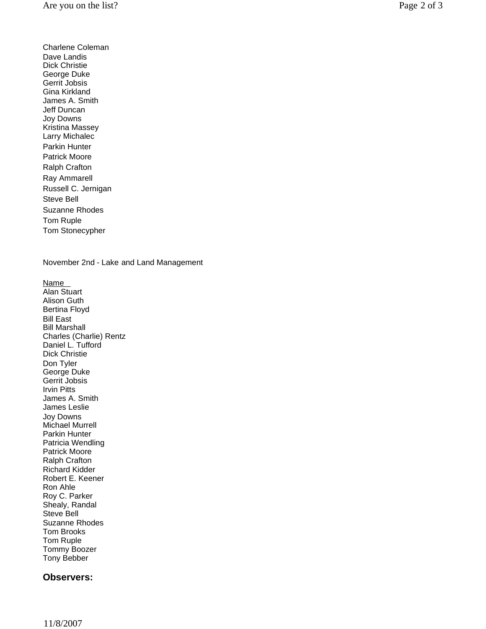Charlene Coleman Dave Landis Dick Christie George Duke Gerrit Jobsis Gina Kirkland James A. Smith Jeff Duncan Joy Downs Kristina Massey Larry Michalec Parkin Hunter Patrick Moore Ralph Crafton Ray Ammarell Russell C. Jernigan Steve Bell Suzanne Rhodes Tom Ruple Tom Stonecypher

November 2nd - Lake and Land Management

Name Alan Stuart Alison Guth Bertina Floyd Bill East Bill Marshall Charles (Charlie) Rentz Daniel L. Tufford Dick Christie Don Tyler George Duke Gerrit Jobsis Irvin Pitts James A. Smith James Leslie Joy Downs Michael Murrell Parkin Hunter Patricia Wendling Patrick Moore Ralph Crafton Richard Kidder Robert E. Keener Ron Ahle Roy C. Parker Shealy, Randal Steve Bell Suzanne Rhodes Tom Brooks Tom Ruple Tommy Boozer Tony Bebber

## **Observers:**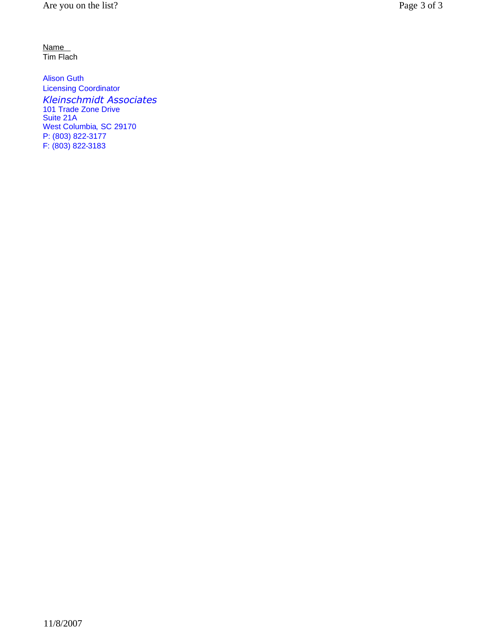Name Tim Flach

Alison Guth Licensing Coordinator *Kleinschmidt Associates* 101 Trade Zone Drive Suite 21A West Columbia, SC 29170 P: (803) 822-3177 F: (803) 822-3183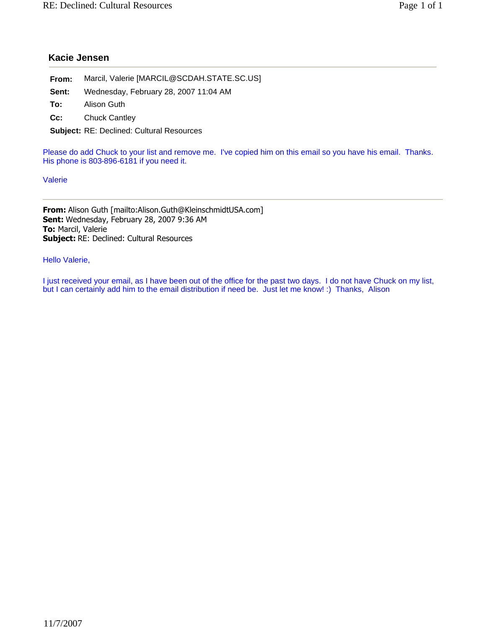# **Kacie Jensen**

| From:                                            | Marcil, Valerie [MARCIL@SCDAH.STATE.SC.US] |  |  |
|--------------------------------------------------|--------------------------------------------|--|--|
| Sent:                                            | Wednesday, February 28, 2007 11:04 AM      |  |  |
| To:                                              | Alison Guth                                |  |  |
| $Cc$ :                                           | <b>Chuck Cantley</b>                       |  |  |
| <b>Subject: RE: Declined: Cultural Resources</b> |                                            |  |  |
|                                                  |                                            |  |  |

Please do add Chuck to your list and remove me. I've copied him on this email so you have his email. Thanks. His phone is 803-896-6181 if you need it.

Valerie

**From:** Alison Guth [mailto:Alison.Guth@KleinschmidtUSA.com] **Sent:** Wednesday, February 28, 2007 9:36 AM **To:** Marcil, Valerie **Subject:** RE: Declined: Cultural Resources

Hello Valerie,

I just received your email, as I have been out of the office for the past two days. I do not have Chuck on my list, but I can certainly add him to the email distribution if need be. Just let me know! :) Thanks, Alison